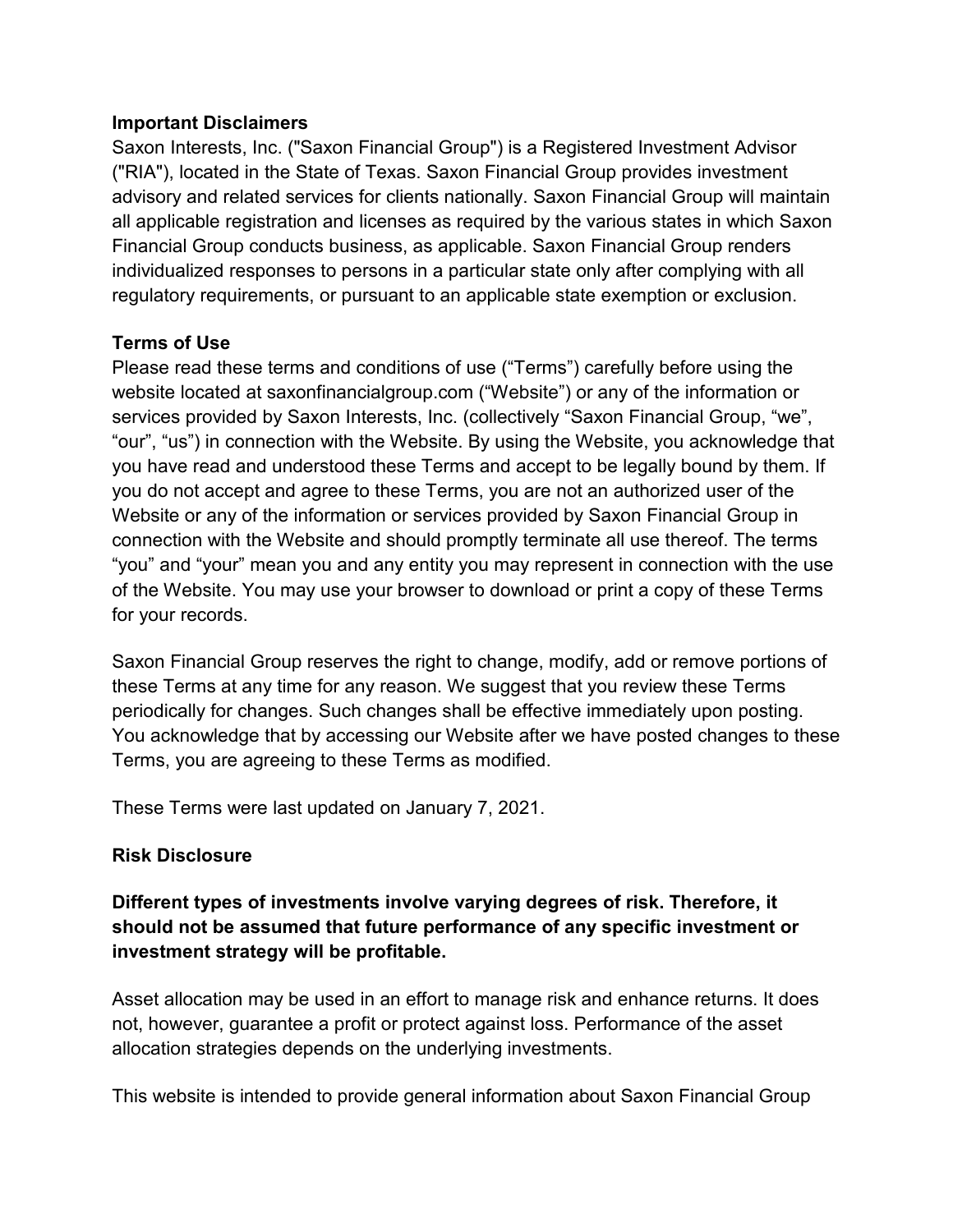#### **Important Disclaimers**

Saxon Interests, Inc. ("Saxon Financial Group") is a Registered Investment Advisor ("RIA"), located in the State of Texas. Saxon Financial Group provides investment advisory and related services for clients nationally. Saxon Financial Group will maintain all applicable registration and licenses as required by the various states in which Saxon Financial Group conducts business, as applicable. Saxon Financial Group renders individualized responses to persons in a particular state only after complying with all regulatory requirements, or pursuant to an applicable state exemption or exclusion.

### **Terms of Use**

Please read these terms and conditions of use ("Terms") carefully before using the website located at saxonfinancialgroup.com ("Website") or any of the information or services provided by Saxon Interests, Inc. (collectively "Saxon Financial Group, "we", "our", "us") in connection with the Website. By using the Website, you acknowledge that you have read and understood these Terms and accept to be legally bound by them. If you do not accept and agree to these Terms, you are not an authorized user of the Website or any of the information or services provided by Saxon Financial Group in connection with the Website and should promptly terminate all use thereof. The terms "you" and "your" mean you and any entity you may represent in connection with the use of the Website. You may use your browser to download or print a copy of these Terms for your records.

Saxon Financial Group reserves the right to change, modify, add or remove portions of these Terms at any time for any reason. We suggest that you review these Terms periodically for changes. Such changes shall be effective immediately upon posting. You acknowledge that by accessing our Website after we have posted changes to these Terms, you are agreeing to these Terms as modified.

These Terms were last updated on January 7, 2021.

# **Risk Disclosure**

# **Different types of investments involve varying degrees of risk. Therefore, it should not be assumed that future performance of any specific investment or investment strategy will be profitable.**

Asset allocation may be used in an effort to manage risk and enhance returns. It does not, however, guarantee a profit or protect against loss. Performance of the asset allocation strategies depends on the underlying investments.

This website is intended to provide general information about Saxon Financial Group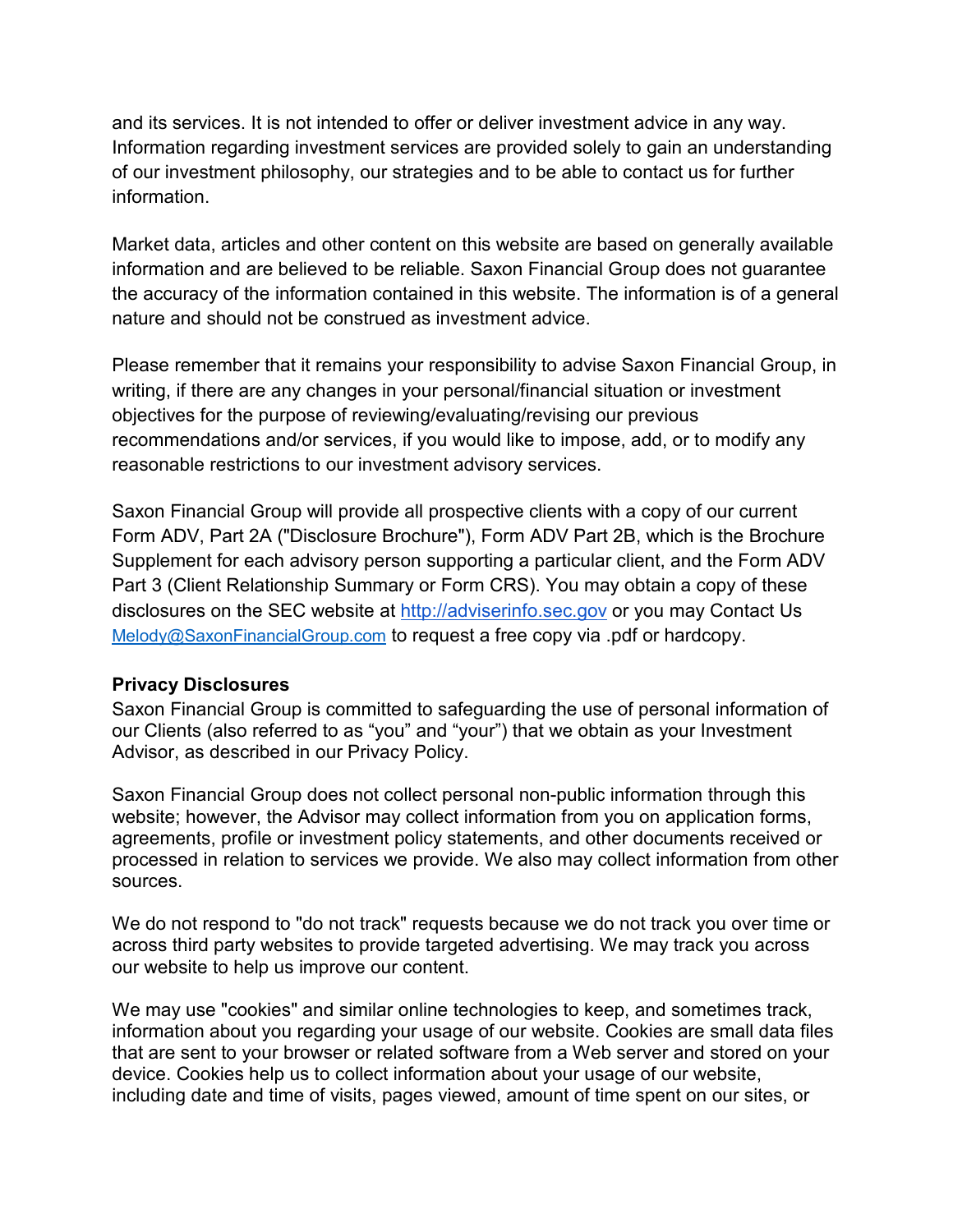and its services. It is not intended to offer or deliver investment advice in any way. Information regarding investment services are provided solely to gain an understanding of our investment philosophy, our strategies and to be able to contact us for further information.

Market data, articles and other content on this website are based on generally available information and are believed to be reliable. Saxon Financial Group does not guarantee the accuracy of the information contained in this website. The information is of a general nature and should not be construed as investment advice.

Please remember that it remains your responsibility to advise Saxon Financial Group, in writing, if there are any changes in your personal/financial situation or investment objectives for the purpose of reviewing/evaluating/revising our previous recommendations and/or services, if you would like to impose, add, or to modify any reasonable restrictions to our investment advisory services.

Saxon Financial Group will provide all prospective clients with a copy of our current Form ADV, Part 2A ("Disclosure Brochure"), Form ADV Part 2B, which is the Brochure Supplement for each advisory person supporting a particular client, and the Form ADV Part 3 (Client Relationship Summary or Form CRS). You may obtain a copy of these disclosures on the SEC website at [http://adviserinfo.sec.gov](http://adviserinfo.sec.gov/) or you may Contact Us [Melody@SaxonFinancialGroup.com](mailto:Melody@SaxonFinancialGroup.com) to request a free copy via .pdf or hardcopy.

#### **Privacy Disclosures**

Saxon Financial Group is committed to safeguarding the use of personal information of our Clients (also referred to as "you" and "your") that we obtain as your Investment Advisor, as described in our Privacy Policy.

Saxon Financial Group does not collect personal non-public information through this website; however, the Advisor may collect information from you on application forms, agreements, profile or investment policy statements, and other documents received or processed in relation to services we provide. We also may collect information from other sources.

We do not respond to "do not track" requests because we do not track you over time or across third party websites to provide targeted advertising. We may track you across our website to help us improve our content.

We may use "cookies" and similar online technologies to keep, and sometimes track, information about you regarding your usage of our website. Cookies are small data files that are sent to your browser or related software from a Web server and stored on your device. Cookies help us to collect information about your usage of our website, including date and time of visits, pages viewed, amount of time spent on our sites, or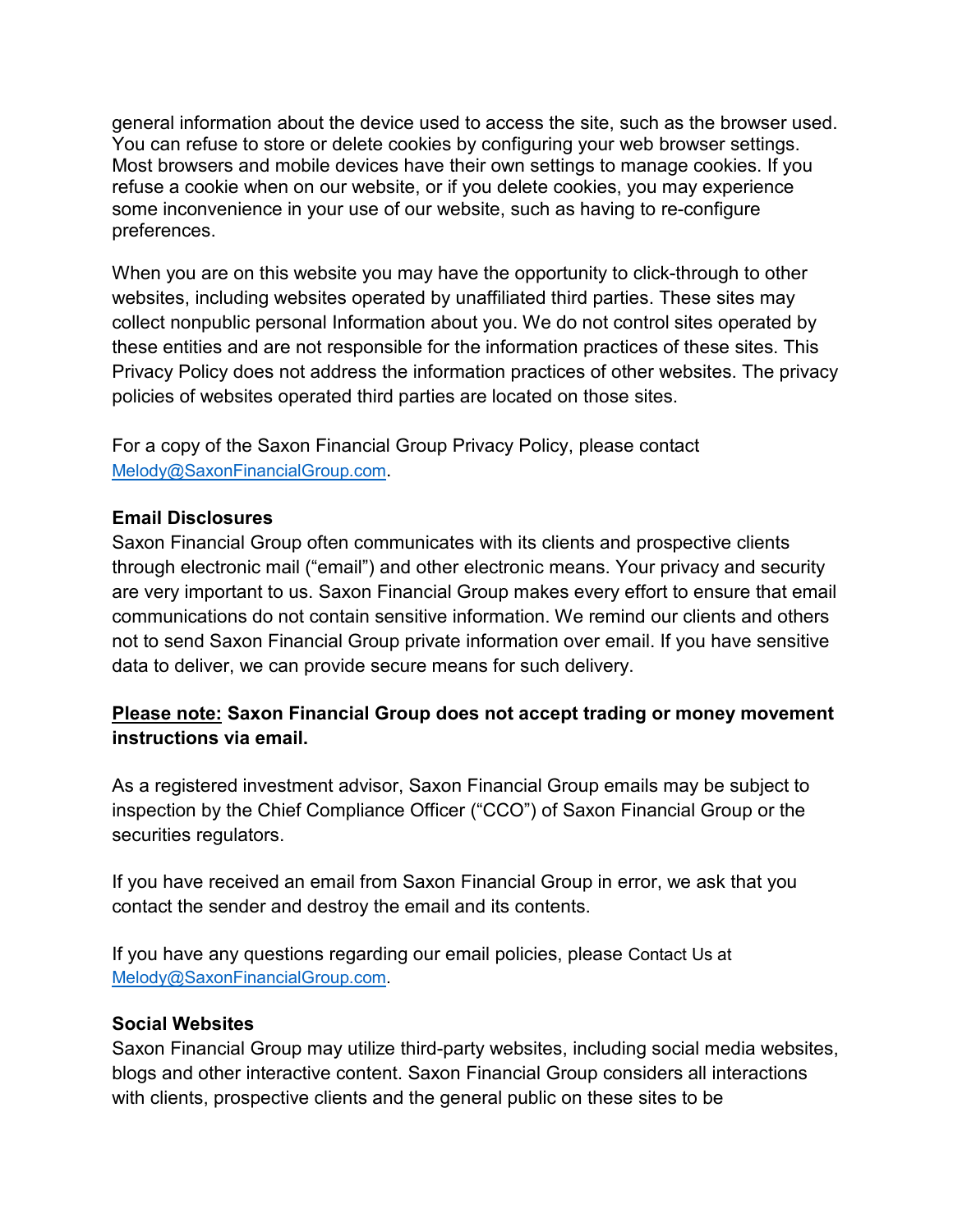general information about the device used to access the site, such as the browser used. You can refuse to store or delete cookies by configuring your web browser settings. Most browsers and mobile devices have their own settings to manage cookies. If you refuse a cookie when on our website, or if you delete cookies, you may experience some inconvenience in your use of our website, such as having to re-configure preferences.

When you are on this website you may have the opportunity to click-through to other websites, including websites operated by unaffiliated third parties. These sites may collect nonpublic personal Information about you. We do not control sites operated by these entities and are not responsible for the information practices of these sites. This Privacy Policy does not address the information practices of other websites. The privacy policies of websites operated third parties are located on those sites.

For a copy of the Saxon Financial Group Privacy Policy, please contact [Melody@SaxonFinancialGroup.com.](mailto:Melody@SaxonFinancialGroup.com)

## **Email Disclosures**

Saxon Financial Group often communicates with its clients and prospective clients through electronic mail ("email") and other electronic means. Your privacy and security are very important to us. Saxon Financial Group makes every effort to ensure that email communications do not contain sensitive information. We remind our clients and others not to send Saxon Financial Group private information over email. If you have sensitive data to deliver, we can provide secure means for such delivery.

## **Please note: Saxon Financial Group does not accept trading or money movement instructions via email.**

As a registered investment advisor, Saxon Financial Group emails may be subject to inspection by the Chief Compliance Officer ("CCO") of Saxon Financial Group or the securities regulators.

If you have received an email from Saxon Financial Group in error, we ask that you contact the sender and destroy the email and its contents.

If you have any questions regarding our email policies, please Contact Us at [Melody@SaxonFinancialGroup.com.](mailto:Melody@SaxonFinancialGroup.com)

### **Social Websites**

Saxon Financial Group may utilize third-party websites, including social media websites, blogs and other interactive content. Saxon Financial Group considers all interactions with clients, prospective clients and the general public on these sites to be